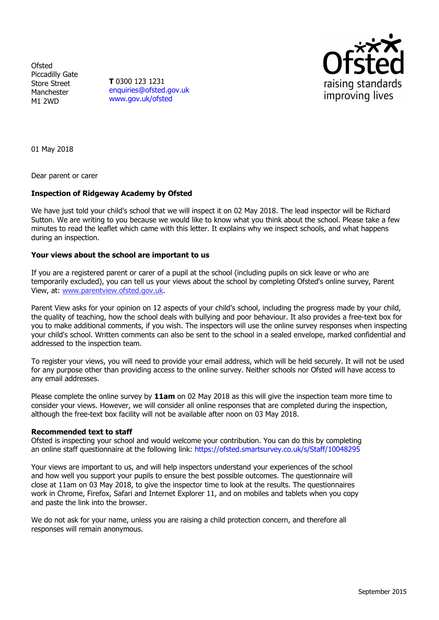**Ofsted** Piccadilly Gate Store Street Manchester M1 2WD

**T** 0300 123 1231 [enquiries@ofsted.gov.uk](mailto:enquiries@ofsted.gov.uk) [www.gov.uk/ofsted](http://www.gov.uk/ofsted)



01 May 2018

Dear parent or carer

## **Inspection of Ridgeway Academy by Ofsted**

We have just told your child's school that we will inspect it on 02 May 2018. The lead inspector will be Richard Sutton. We are writing to you because we would like to know what you think about the school. Please take a few minutes to read the leaflet which came with this letter. It explains why we inspect schools, and what happens during an inspection.

## **Your views about the school are important to us**

If you are a registered parent or carer of a pupil at the school (including pupils on sick leave or who are temporarily excluded), you can tell us your views about the school by completing Ofsted's online survey, Parent View, at: [www.parentview.ofsted.gov.uk](http://www.parentview.ofsted.gov.uk/).

Parent View asks for your opinion on 12 aspects of your child's school, including the progress made by your child, the quality of teaching, how the school deals with bullying and poor behaviour. It also provides a free-text box for you to make additional comments, if you wish. The inspectors will use the online survey responses when inspecting your child's school. Written comments can also be sent to the school in a sealed envelope, marked confidential and addressed to the inspection team.

To register your views, you will need to provide your email address, which will be held securely. It will not be used for any purpose other than providing access to the online survey. Neither schools nor Ofsted will have access to any email addresses.

Please complete the online survey by **11am** on 02 May 2018 as this will give the inspection team more time to consider your views. However, we will consider all online responses that are completed during the inspection, although the free-text box facility will not be available after noon on 03 May 2018.

## **Recommended text to staff**

Ofsted is inspecting your school and would welcome your contribution. You can do this by completing an online staff questionnaire at the following link: <https://ofsted.smartsurvey.co.uk/s/Staff/10048295>

Your views are important to us, and will help inspectors understand your experiences of the school and how well you support your pupils to ensure the best possible outcomes. The questionnaire will close at 11am on 03 May 2018, to give the inspector time to look at the results. The questionnaires work in Chrome, Firefox, Safari and Internet Explorer 11, and on mobiles and tablets when you copy and paste the link into the browser.

We do not ask for your name, unless you are raising a child protection concern, and therefore all responses will remain anonymous.